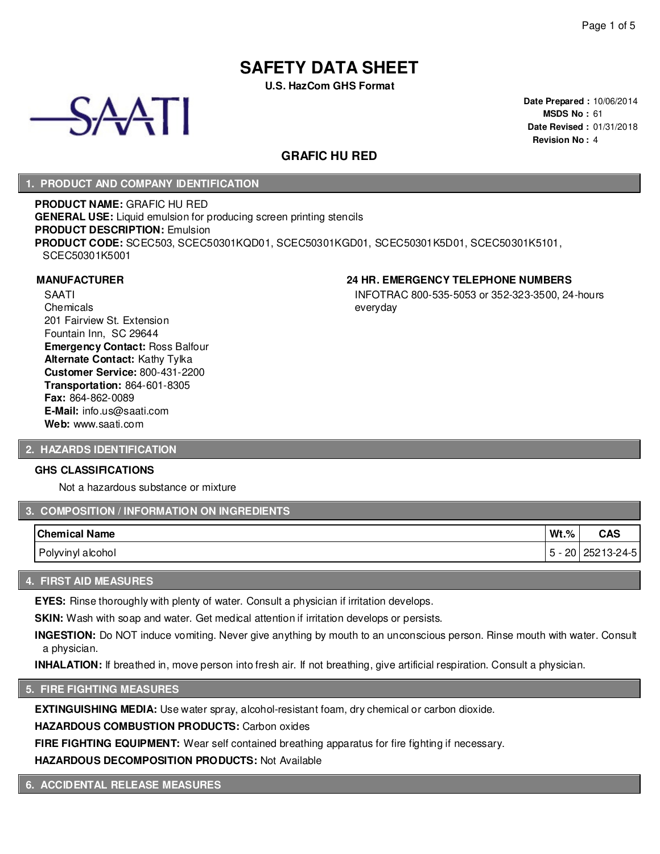# **SAFETY DATA SHEET**

**U.S. HazCom GHS Format**



**Date Prepared :** 10/06/2014 **MSDS No :** 61 **Date Revised :** 01/31/2018 **Revision No :** 4

INFOTRAC 800-535-5053 or 352-323-3500, 24-hours

# **GRAFIC HU RED**

everyday

## **1. PRODUCT AND COMPANY IDENTIFICATION**

**PRODUCT NAME:** GRAFIC HU RED **GENERAL USE:** Liquid emulsion for producing screen printing stencils **PRODUCT DESCRIPTION:** Emulsion **PRODUCT CODE:** SCEC503, SCEC50301KQD01, SCEC50301KGD01, SCEC50301K5D01, SCEC50301K5101, SCEC50301K5001

#### **MANUFACTURER 24 HR. EMERGENCY TELEPHONE NUMBERS**

SAATI **Chemicals** 201 Fairview St. Extension Fountain Inn, SC 29644 **Emergency Contact:** Ross Balfour **Alternate Contact:** Kathy Tylka **Customer Service:** 800-431-2200 **Transportation:** 864-601-8305 **Fax:** 864-862-0089 **E-Mail:** info.us@saati.com **Web:** www.saati.com

#### **2. HAZARDS IDENTIFICATION**

#### **GHS CLASSIFICATIONS**

Not a hazardous substance or mixture

## **3. COMPOSITION / INFORMATION ON INGREDIENTS**

| <b>Chemical Name</b> | $Wt.\%$                        | CAS        |
|----------------------|--------------------------------|------------|
| Polyvinyl alcohol    | 20<br>$\overline{\phantom{a}}$ | 25213-24-5 |

#### **4. FIRST AID MEASURES**

**EYES:** Rinse thoroughly with plenty of water. Consult a physician if irritation develops.

**SKIN:** Wash with soap and water. Get medical attention if irritation develops or persists.

**INGESTION:** Do NOT induce vomiting. Never give anything by mouth to an unconscious person. Rinse mouth with water. Consult a physician.

**INHALATION:** If breathed in, move person into fresh air. If not breathing, give artificial respiration. Consult a physician.

# **5. FIRE FIGHTING MEASURES**

**EXTINGUISHING MEDIA:** Use water spray, alcohol-resistant foam, dry chemical or carbon dioxide.

**HAZARDOUS COMBUSTION PRODUCTS:** Carbon oxides

**FIRE FIGHTING EQUIPMENT:** Wear self contained breathing apparatus for fire fighting if necessary.

**HAZARDOUS DECOMPOSITION PRODUCTS:** Not Available

**6. ACCIDENTAL RELEASE MEASURES**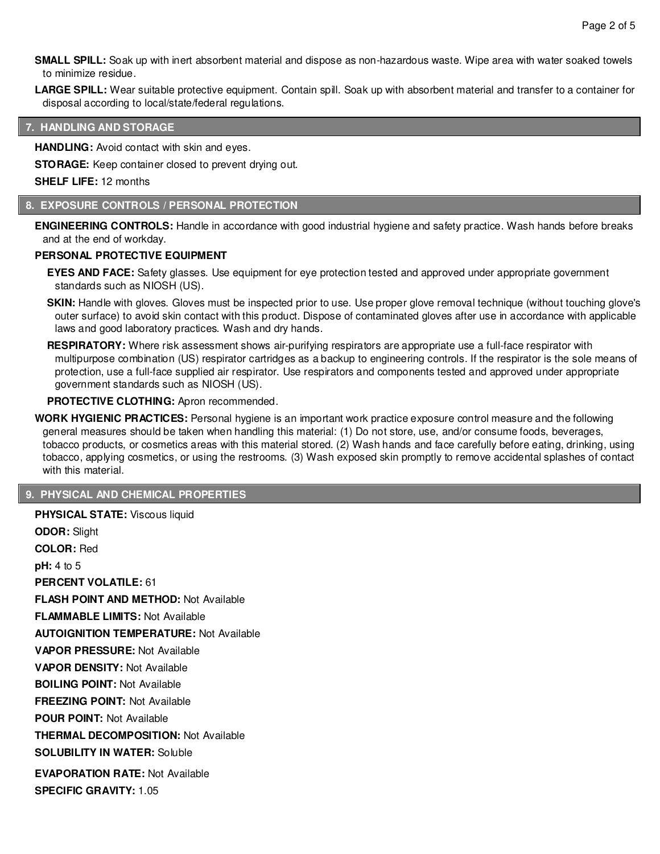**SMALL SPILL:** Soak up with inert absorbent material and dispose as non-hazardous waste. Wipe area with water soaked towels to minimize residue.

**LARGE SPILL:** Wear suitable protective equipment. Contain spill. Soak up with absorbent material and transfer to a container for disposal according to local/state/federal regulations.

## **7. HANDLING AND STORAGE**

**HANDLING:** Avoid contact with skin and eyes.

**STORAGE:** Keep container closed to prevent drying out.

**SHELF LIFE:** 12 months

#### **8. EXPOSURE CONTROLS / PERSONAL PROTECTION**

**ENGINEERING CONTROLS:** Handle in accordance with good industrial hygiene and safety practice. Wash hands before breaks and at the end of workday.

#### **PERSONAL PROTECTIVE EQUIPMENT**

**EYES AND FACE:** Safety glasses. Use equipment for eye protection tested and approved under appropriate government standards such as NIOSH (US).

**SKIN:** Handle with gloves. Gloves must be inspected prior to use. Use proper glove removal technique (without touching glove's outer surface) to avoid skin contact with this product. Dispose of contaminated gloves after use in accordance with applicable laws and good laboratory practices. Wash and dry hands.

**RESPIRATORY:** Where risk assessment shows air-purifying respirators are appropriate use a full-face respirator with multipurpose combination (US) respirator cartridges as a backup to engineering controls. If the respirator is the sole means of protection, use a full-face supplied air respirator. Use respirators and components tested and approved under appropriate government standards such as NIOSH (US).

#### **PROTECTIVE CLOTHING:** Apron recommended.

**WORK HYGIENIC PRACTICES:** Personal hygiene is an important work practice exposure control measure and the following general measures should be taken when handling this material: (1) Do not store, use, and/or consume foods, beverages, tobacco products, or cosmetics areas with this material stored. (2) Wash hands and face carefully before eating, drinking, using tobacco, applying cosmetics, or using the restrooms. (3) Wash exposed skin promptly to remove accidental splashes of contact with this material.

## **9. PHYSICAL AND CHEMICAL PROPERTIES**

**PHYSICAL STATE:** Viscous liquid **ODOR:** Slight **COLOR:** Red **pH:** 4 to 5 **PERCENT VOLATILE:** 61 **FLASH POINT AND METHOD:** Not Available **FLAMMABLE LIMITS:** Not Available **AUTOIGNITION TEMPERATURE:** Not Available **VAPOR PRESSURE:** Not Available **VAPOR DENSITY:** Not Available **BOILING POINT:** Not Available **FREEZING POINT:** Not Available **POUR POINT:** Not Available **THERMAL DECOMPOSITION:** Not Available **SOLUBILITY IN WATER:** Soluble **EVAPORATION RATE:** Not Available **SPECIFIC GRAVITY:** 1.05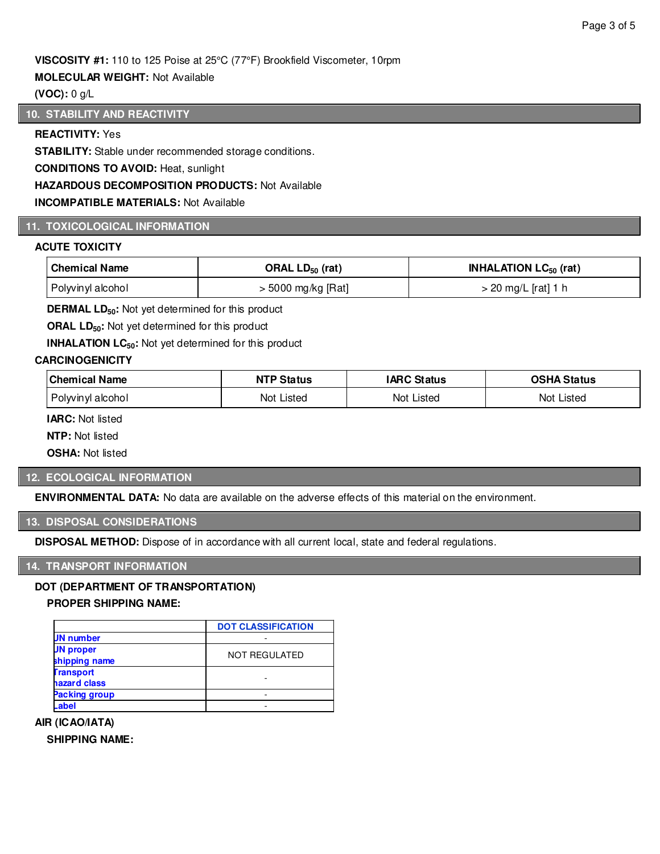## **VISCOSITY #1:** 110 to 125 Poise at 25°C (77°F) Brookfield Viscometer, 10rpm

#### **MOLECULAR WEIGHT:** Not Available

## **(VOC):** 0 g/L

## **10. STABILITY AND REACTIVITY**

## **REACTIVITY:** Yes

**STABILITY:** Stable under recommended storage conditions.

**CONDITIONS TO AVOID:** Heat, sunlight

**HAZARDOUS DECOMPOSITION PRODUCTS:** Not Available

#### **INCOMPATIBLE MATERIALS:** Not Available

# **11. TOXICOLOGICAL INFORMATION**

#### **ACUTE TOXICITY**

| Chemical Name     | ORAL $LD_{50}$ (rat) | <b>INHALATION LC<math>_{50}</math> (rat)</b> |
|-------------------|----------------------|----------------------------------------------|
| Polyvinyl alcohol | > 5000 mg/kg [Rat]   | > 20 mg/L [rat] 1 h                          |

**DERMAL LD50:** Not yet determined for this product

**ORAL LD**<sub>50</sub>: Not yet determined for this product

**INHALATION LC<sub>50</sub>:** Not yet determined for this product

#### **CARCINOGENICITY**

| <b>Chemical Name</b> | <b>NTP Status</b> | <b>IARC Status</b> | OSHA Status   |
|----------------------|-------------------|--------------------|---------------|
| Polyvinyl alcohol    | Not Listed        | Not Listed         | Not<br>Listed |

**IARC:** Not listed

**NTP:** Not listed

**OSHA:** Not listed

## **12. ECOLOGICAL INFORMATION**

**ENVIRONMENTAL DATA:** No data are available on the adverse effects of this material on the environment.

#### **13. DISPOSAL CONSIDERATIONS**

**DISPOSAL METHOD:** Dispose of in accordance with all current local, state and federal regulations.

#### **14. TRANSPORT INFORMATION**

# **DOT (DEPARTMENT OF TRANSPORTATION)**

## **PROPER SHIPPING NAME:**

|                  | <b>DOT CLASSIFICATION</b> |
|------------------|---------------------------|
| <b>JN</b> number |                           |
| <b>JN proper</b> | NOT REGULATED             |
| shipping name    |                           |
| <b>Transport</b> |                           |
| hazard class     |                           |
| Packing group    |                           |
| Label            |                           |

#### **AIR (ICAO/IATA)**

**SHIPPING NAME:**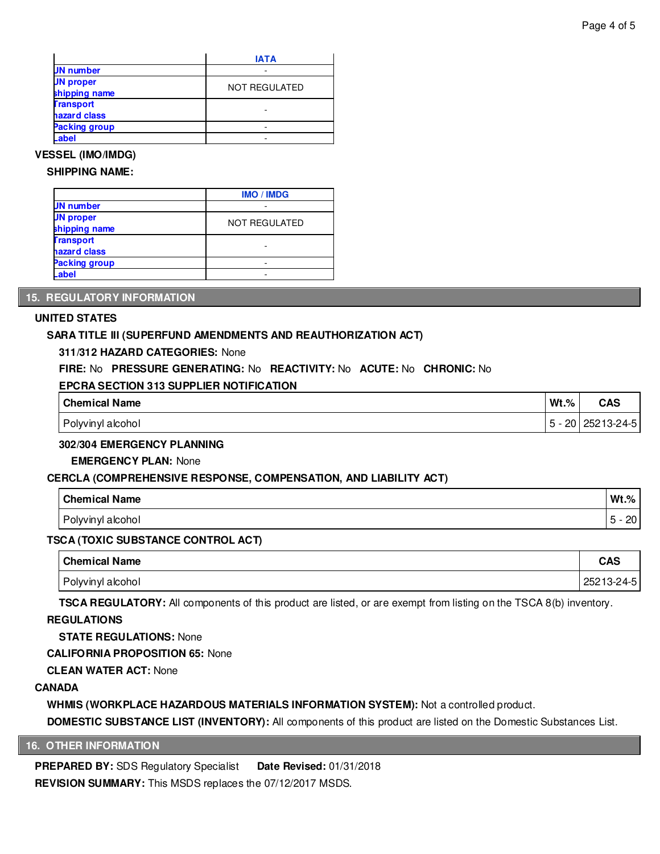|                                   | <b>IATA</b>          |
|-----------------------------------|----------------------|
| <b>JN</b> number                  |                      |
| <b>JN proper</b><br>shipping name | <b>NOT REGULATED</b> |
| <b>Transport</b><br>hazard class  |                      |
| Packing group                     |                      |
| Label                             |                      |

## **VESSEL (IMO/IMDG)**

#### **SHIPPING NAME:**

|                                   | <b>IMO / IMDG</b>    |
|-----------------------------------|----------------------|
| <b>JN number</b>                  |                      |
| <b>JN</b> proper<br>shipping name | <b>NOT REGULATED</b> |
| <b>Transport</b><br>hazard class  |                      |
| Packing group                     | -                    |
| .abel                             |                      |

## **15. REGULATORY INFORMATION**

#### **UNITED STATES**

## **SARA TITLE III (SUPERFUND AMENDMENTS AND REAUTHORIZATION ACT)**

#### **311/312 HAZARD CATEGORIES:** None

## **FIRE:** No **PRESSURE GENERATING:** No **REACTIVITY:** No **ACUTE:** No **CHRONIC:** No

#### **EPCRA SECTION 313 SUPPLIER NOTIFICATION**

| <b>Chemical Name</b> | Wt.%               | <b>CAS</b> |
|----------------------|--------------------|------------|
| Polyvinyl alcohol    | ററ<br>C<br>-<br>∠∪ | 25213-24-5 |

#### **302/304 EMERGENCY PLANNING**

#### **EMERGENCY PLAN:** None

#### **CERCLA (COMPREHENSIVE RESPONSE, COMPENSATION, AND LIABILITY ACT)**

| <b>Chemical Name</b> | $Wt.\%$        |
|----------------------|----------------|
| Polyvinyl alcohol    | ററ<br>∠∪.<br>∼ |

#### **TSCA (TOXIC SUBSTANCE CONTROL ACT)**

| <b>Chemical Name</b> | <b>CAS</b> |
|----------------------|------------|
| Polyvinyl alcohol    | 25213-24-5 |

**TSCA REGULATORY:** All components of this product are listed, or are exempt from listing on the TSCA 8(b) inventory.

## **REGULATIONS**

## **STATE REGULATIONS:** None

**CALIFORNIA PROPOSITION 65:** None

**CLEAN WATER ACT:** None

## **CANADA**

**WHMIS (WORKPLACE HAZARDOUS MATERIALS INFORMATION SYSTEM):** Not a controlled product.

**DOMESTIC SUBSTANCE LIST (INVENTORY):** All components of this product are listed on the Domestic Substances List.

#### **16. OTHER INFORMATION**

**PREPARED BY:** SDS Regulatory Specialist **Date Revised:** 01/31/2018 **REVISION SUMMARY:** This MSDS replaces the 07/12/2017 MSDS.